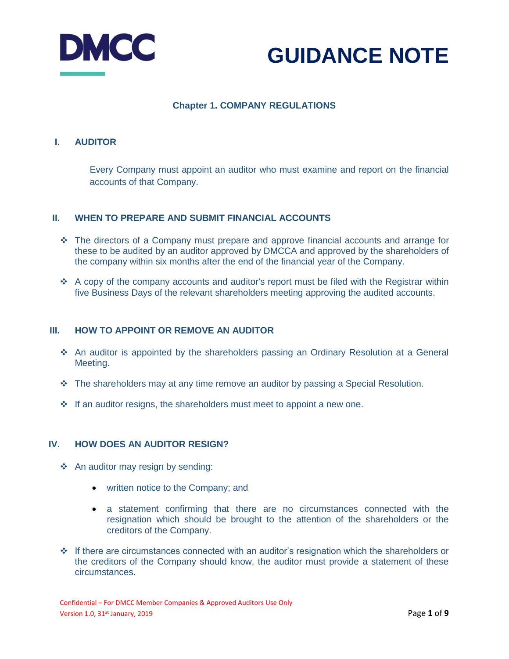



# **Chapter 1. COMPANY REGULATIONS**

### **I. AUDITOR**

Every Company must appoint an auditor who must examine and report on the financial accounts of that Company.

#### **II. WHEN TO PREPARE AND SUBMIT FINANCIAL ACCOUNTS**

- The directors of a Company must prepare and approve financial accounts and arrange for these to be audited by an auditor approved by DMCCA and approved by the shareholders of the company within six months after the end of the financial year of the Company.
- \* A copy of the company accounts and auditor's report must be filed with the Registrar within five Business Days of the relevant shareholders meeting approving the audited accounts.

#### **III. HOW TO APPOINT OR REMOVE AN AUDITOR**

- An auditor is appointed by the shareholders passing an Ordinary Resolution at a General Meeting.
- $\cdot \cdot$  The shareholders may at any time remove an auditor by passing a Special Resolution.
- $\cdot$  If an auditor resigns, the shareholders must meet to appoint a new one.

#### **IV. HOW DOES AN AUDITOR RESIGN?**

- ❖ An auditor may resign by sending:
	- written notice to the Company; and
	- a statement confirming that there are no circumstances connected with the resignation which should be brought to the attention of the shareholders or the creditors of the Company.
- $\cdot \cdot$  If there are circumstances connected with an auditor's resignation which the shareholders or the creditors of the Company should know, the auditor must provide a statement of these circumstances.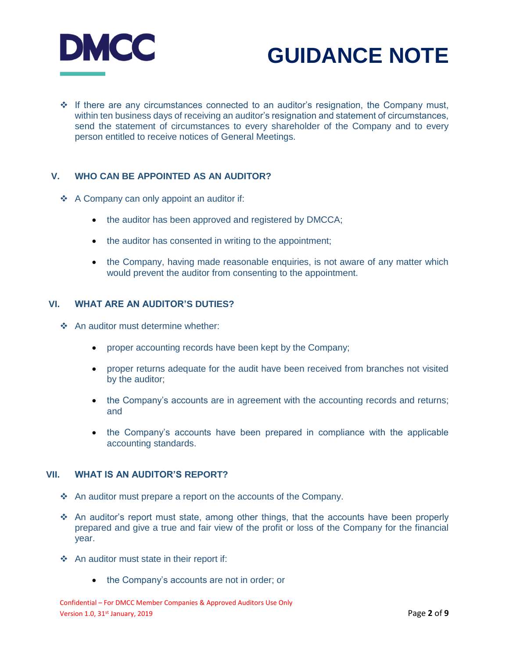

 $\div$  If there are any circumstances connected to an auditor's resignation, the Company must, within ten business days of receiving an auditor's resignation and statement of circumstances, send the statement of circumstances to every shareholder of the Company and to every person entitled to receive notices of General Meetings.

### **V. WHO CAN BE APPOINTED AS AN AUDITOR?**

- ❖ A Company can only appoint an auditor if:
	- the auditor has been approved and registered by DMCCA;
	- the auditor has consented in writing to the appointment;
	- the Company, having made reasonable enquiries, is not aware of any matter which would prevent the auditor from consenting to the appointment.

### **VI. WHAT ARE AN AUDITOR'S DUTIES?**

- ❖ An auditor must determine whether:
	- proper accounting records have been kept by the Company;
	- proper returns adequate for the audit have been received from branches not visited by the auditor;
	- the Company's accounts are in agreement with the accounting records and returns; and
	- the Company's accounts have been prepared in compliance with the applicable accounting standards.

#### **VII. WHAT IS AN AUDITOR'S REPORT?**

- $\cdot$  An auditor must prepare a report on the accounts of the Company.
- An auditor's report must state, among other things, that the accounts have been properly prepared and give a true and fair view of the profit or loss of the Company for the financial year.
- An auditor must state in their report if:
	- the Company's accounts are not in order; or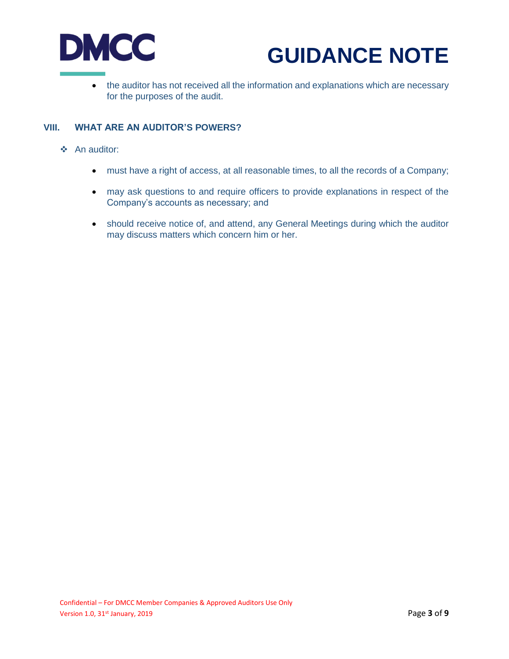

 the auditor has not received all the information and explanations which are necessary for the purposes of the audit.

### **VIII. WHAT ARE AN AUDITOR'S POWERS?**

- An auditor:
	- must have a right of access, at all reasonable times, to all the records of a Company;
	- may ask questions to and require officers to provide explanations in respect of the Company's accounts as necessary; and
	- should receive notice of, and attend, any General Meetings during which the auditor may discuss matters which concern him or her.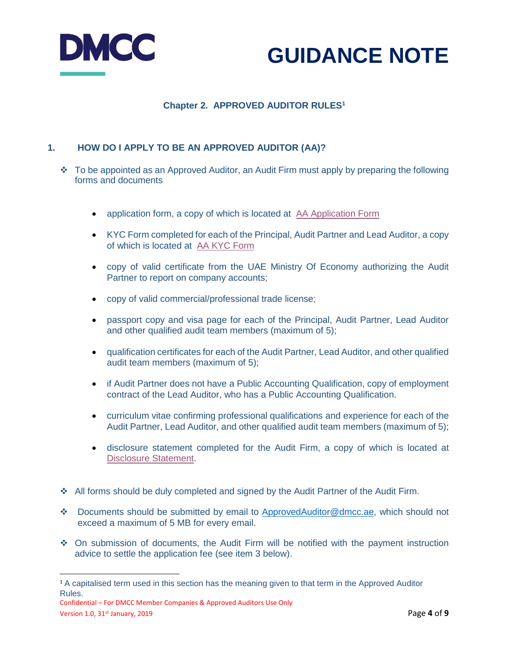



# **Chapter 2. APPROVED AUDITOR RULES<sup>1</sup>**

## **1. HOW DO I APPLY TO BE AN APPROVED AUDITOR (AA)?**

- $\cdot \cdot$  To be appointed as an Approved Auditor, an Audit Firm must apply by preparing the following forms and documents
	- application form, a copy of which is located at [AA Application Form](https://www.dmcc.ae/application/files/1015/5194/0434/Approved_Auditors_Application_Form.pdf)
	- KYC Form completed for each of the Principal, Audit Partner and Lead Auditor, a copy of which is located at [AA KYC Form](https://www.dmcc.ae/application/files/2015/5194/4337/Approved_Auditors__KYC_Form.pdf)
	- copy of valid certificate from the UAE Ministry Of Economy authorizing the Audit Partner to report on company accounts;
	- copy of valid commercial/professional trade license;
	- passport copy and visa page for each of the Principal, Audit Partner, Lead Auditor and other qualified audit team members (maximum of 5);
	- qualification certificates for each of the Audit Partner, Lead Auditor, and other qualified audit team members (maximum of 5);
	- if Audit Partner does not have a Public Accounting Qualification, copy of employment contract of the Lead Auditor, who has a Public Accounting Qualification.
	- curriculum vitae confirming professional qualifications and experience for each of the Audit Partner, Lead Auditor, and other qualified audit team members (maximum of 5);
	- disclosure statement completed for the Audit Firm, a copy of which is located at [Disclosure Statement.](https://www.dmcc.ae/application/files/4015/5222/6213/Approved_Auditors_Disclosure_Application.pdf)
- All forms should be duly completed and signed by the Audit Partner of the Audit Firm.
- Documents should be submitted by email to [ApprovedAuditor@dmcc.ae,](mailto:ApprovedAuditor@dmcc.ae) which should not exceed a maximum of 5 MB for every email.
- On submission of documents, the Audit Firm will be notified with the payment instruction advice to settle the application fee (see item 3 below).

 $\overline{a}$ 

<sup>&</sup>lt;sup>1</sup> A capitalised term used in this section has the meaning given to that term in the Approved Auditor Rules.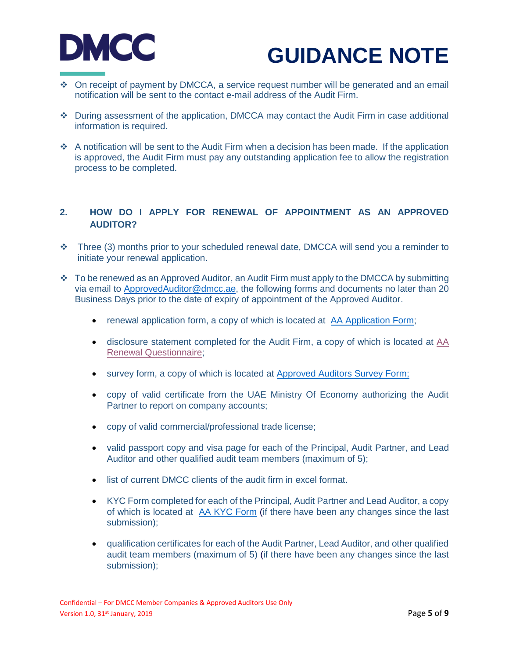

- On receipt of payment by DMCCA, a service request number will be generated and an email notification will be sent to the contact e-mail address of the Audit Firm.
- During assessment of the application, DMCCA may contact the Audit Firm in case additional information is required.
- $\cdot$  A notification will be sent to the Audit Firm when a decision has been made. If the application is approved, the Audit Firm must pay any outstanding application fee to allow the registration process to be completed.

## **2. HOW DO I APPLY FOR RENEWAL OF APPOINTMENT AS AN APPROVED AUDITOR?**

- \* Three (3) months prior to your scheduled renewal date, DMCCA will send you a reminder to initiate your renewal application.
- $\cdot \cdot$  To be renewed as an Approved Auditor, an Audit Firm must apply to the DMCCA by submitting via email to [ApprovedAuditor@dmcc.ae,](mailto:ApprovedAuditor@dmcc.ae) the following forms and documents no later than 20 Business Days prior to the date of expiry of appointment of the Approved Auditor.
	- renewal application form, a copy of which is located at [AA Application Form;](https://www.dmcc.ae/application/files/1015/5194/0434/Approved_Auditors_Application_Form.pdf)
	- disclosure statement completed for the Audit Firm, a copy of which is located at [AA](https://www.dmcc.ae/application/files/2315/5222/6285/Approved_Auditors_Renewal_Questionnaire-Disclosure_Renewal.pdf)  [Renewal Questionnaire;](https://www.dmcc.ae/application/files/2315/5222/6285/Approved_Auditors_Renewal_Questionnaire-Disclosure_Renewal.pdf)
	- survey form, a copy of which is located at [Approved Auditors Survey Form;](https://www.dmcc.ae/application/files/2715/5194/6088/Approved_Auditors_Survey_Form.pdf)
	- copy of valid certificate from the UAE Ministry Of Economy authorizing the Audit Partner to report on company accounts;
	- copy of valid commercial/professional trade license;
	- valid passport copy and visa page for each of the Principal, Audit Partner, and Lead Auditor and other qualified audit team members (maximum of 5);
	- **.** list of current DMCC clients of the audit firm in excel format.
	- KYC Form completed for each of the Principal, Audit Partner and Lead Auditor, a copy of which is located at [AA KYC Form](https://www.dmcc.ae/application/files/2015/5194/4337/Approved_Auditors__KYC_Form.pdf) (if there have been any changes since the last submission);
	- qualification certificates for each of the Audit Partner, Lead Auditor, and other qualified audit team members (maximum of 5) (if there have been any changes since the last submission);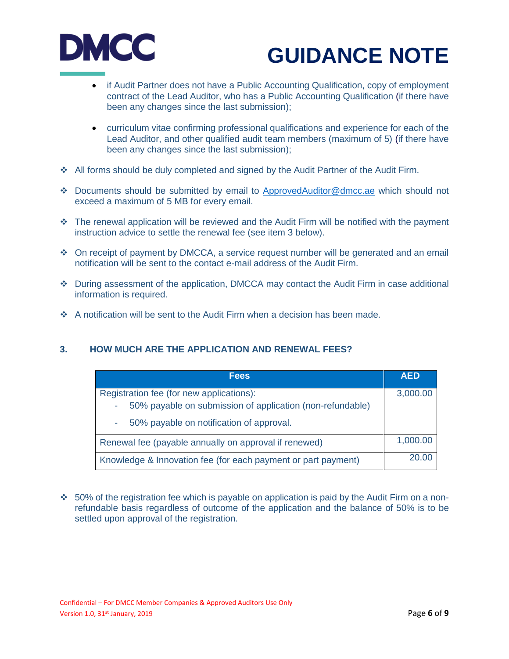

- if Audit Partner does not have a Public Accounting Qualification, copy of employment contract of the Lead Auditor, who has a Public Accounting Qualification (if there have been any changes since the last submission);
- curriculum vitae confirming professional qualifications and experience for each of the Lead Auditor, and other qualified audit team members (maximum of 5) (if there have been any changes since the last submission);
- All forms should be duly completed and signed by the Audit Partner of the Audit Firm.
- Documents should be submitted by email to [ApprovedAuditor@dmcc.ae](mailto:ApprovedAuditor@dmcc.ae) which should not exceed a maximum of 5 MB for every email.
- $\cdot \cdot$  The renewal application will be reviewed and the Audit Firm will be notified with the payment instruction advice to settle the renewal fee (see item 3 below).
- On receipt of payment by DMCCA, a service request number will be generated and an email notification will be sent to the contact e-mail address of the Audit Firm.
- During assessment of the application, DMCCA may contact the Audit Firm in case additional information is required.
- A notification will be sent to the Audit Firm when a decision has been made.

### **3. HOW MUCH ARE THE APPLICATION AND RENEWAL FEES?**

| <b>Fees</b>                                                   | <b>AED</b> |
|---------------------------------------------------------------|------------|
| Registration fee (for new applications):                      | 3,000.00   |
| 50% payable on submission of application (non-refundable)     |            |
| 50% payable on notification of approval.                      |            |
| Renewal fee (payable annually on approval if renewed)         | 1,000.00   |
| Knowledge & Innovation fee (for each payment or part payment) | 20.00      |

 $\div$  50% of the registration fee which is payable on application is paid by the Audit Firm on a nonrefundable basis regardless of outcome of the application and the balance of 50% is to be settled upon approval of the registration.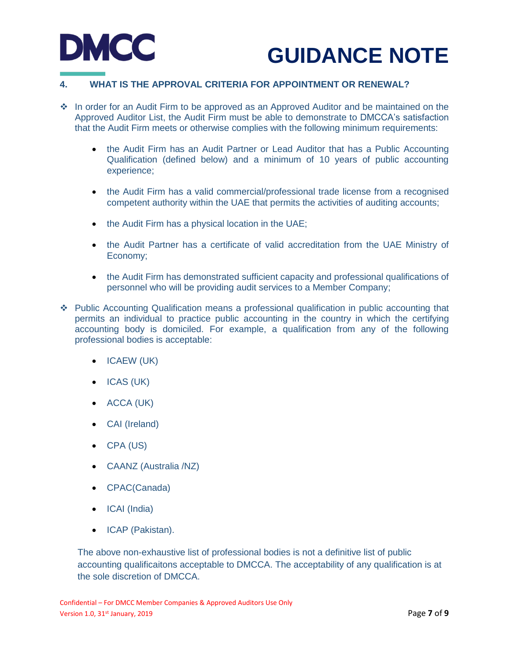



### **4. WHAT IS THE APPROVAL CRITERIA FOR APPOINTMENT OR RENEWAL?**

- In order for an Audit Firm to be approved as an Approved Auditor and be maintained on the Approved Auditor List, the Audit Firm must be able to demonstrate to DMCCA's satisfaction that the Audit Firm meets or otherwise complies with the following minimum requirements:
	- the Audit Firm has an Audit Partner or Lead Auditor that has a Public Accounting Qualification (defined below) and a minimum of 10 years of public accounting experience;
	- the Audit Firm has a valid commercial/professional trade license from a recognised competent authority within the UAE that permits the activities of auditing accounts;
	- the Audit Firm has a physical location in the UAE;
	- the Audit Partner has a certificate of valid accreditation from the UAE Ministry of Economy;
	- the Audit Firm has demonstrated sufficient capacity and professional qualifications of personnel who will be providing audit services to a Member Company;
- Public Accounting Qualification means a professional qualification in public accounting that permits an individual to practice public accounting in the country in which the certifying accounting body is domiciled. For example, a qualification from any of the following professional bodies is acceptable:
	- ICAEW (UK)
	- ICAS (UK)
	- ACCA (UK)
	- CAI (Ireland)
	- CPA (US)
	- CAANZ (Australia /NZ)
	- CPAC(Canada)
	- ICAI (India)
	- ICAP (Pakistan).

The above non-exhaustive list of professional bodies is not a definitive list of public accounting qualificaitons acceptable to DMCCA. The acceptability of any qualification is at the sole discretion of DMCCA.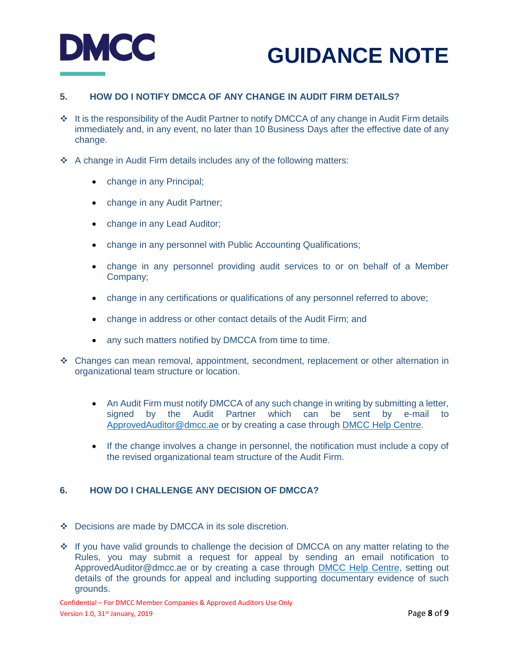

# **5. HOW DO I NOTIFY DMCCA OF ANY CHANGE IN AUDIT FIRM DETAILS?**

- It is the responsibility of the Audit Partner to notify DMCCA of any change in Audit Firm details immediately and, in any event, no later than 10 Business Days after the effective date of any change.
- A change in Audit Firm details includes any of the following matters:
	- change in any Principal;
	- change in any Audit Partner;
	- change in any Lead Auditor;
	- change in any personnel with Public Accounting Qualifications;
	- change in any personnel providing audit services to or on behalf of a Member Company;
	- change in any certifications or qualifications of any personnel referred to above;
	- change in address or other contact details of the Audit Firm; and
	- any such matters notified by DMCCA from time to time.
- Changes can mean removal, appointment, secondment, replacement or other alternation in organizational team structure or location.
	- An Audit Firm must notify DMCCA of any such change in writing by submitting a letter, signed by the Audit Partner which can be sent by e-mail to [ApprovedAuditor@dmcc.ae](mailto:ApprovedAuditor@dmcc.ae) or by creating a case through [DMCC Help Centre.](https://dmccpoc.force.com/DMCCHelpCentre/s/)
	- If the change involves a change in personnel, the notification must include a copy of the revised organizational team structure of the Audit Firm.

### **6. HOW DO I CHALLENGE ANY DECISION OF DMCCA?**

- Decisions are made by DMCCA in its sole discretion.
- ❖ If you have valid grounds to challenge the decision of DMCCA on any matter relating to the Rules, you may submit a request for appeal by sending an email notification to ApprovedAuditor@dmcc.ae or by creating a case through [DMCC Help Centre,](https://dmccpoc.force.com/DMCCHelpCentre/s/) setting out details of the grounds for appeal and including supporting documentary evidence of such grounds.